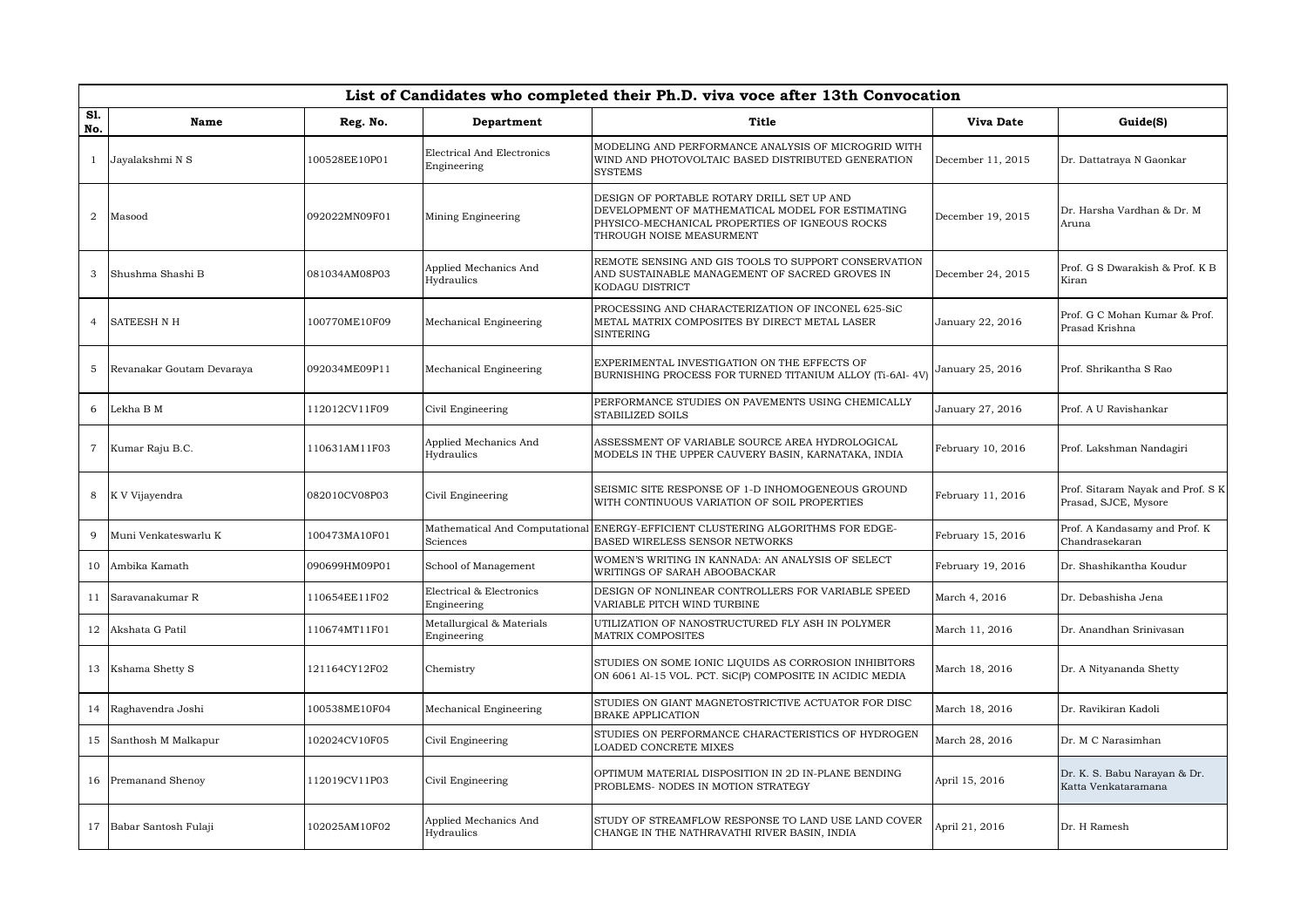|                | List of Candidates who completed their Ph.D. viva voce after 13th Convocation |               |                                           |                                                                                                                                                                              |                   |                                                           |  |  |  |  |
|----------------|-------------------------------------------------------------------------------|---------------|-------------------------------------------|------------------------------------------------------------------------------------------------------------------------------------------------------------------------------|-------------------|-----------------------------------------------------------|--|--|--|--|
| Sl.<br>No.     | <b>Name</b>                                                                   | Reg. No.      | Department                                | Title                                                                                                                                                                        | <b>Viva Date</b>  | Guide(S)                                                  |  |  |  |  |
|                | Jayalakshmi N S                                                               | 100528EE10P01 | Electrical And Electronics<br>Engineering | MODELING AND PERFORMANCE ANALYSIS OF MICROGRID WITH<br>WIND AND PHOTOVOLTAIC BASED DISTRIBUTED GENERATION<br><b>SYSTEMS</b>                                                  | December 11, 2015 | Dr. Dattatraya N Gaonkar                                  |  |  |  |  |
| $\overline{2}$ | Masood                                                                        | 092022MN09F01 | Mining Engineering                        | DESIGN OF PORTABLE ROTARY DRILL SET UP AND<br>DEVELOPMENT OF MATHEMATICAL MODEL FOR ESTIMATING<br>PHYSICO-MECHANICAL PROPERTIES OF IGNEOUS ROCKS<br>THROUGH NOISE MEASURMENT | December 19, 2015 | Dr. Harsha Vardhan & Dr. M<br>Aruna                       |  |  |  |  |
| 3              | Shushma Shashi B                                                              | 081034AM08P03 | Applied Mechanics And<br>Hydraulics       | REMOTE SENSING AND GIS TOOLS TO SUPPORT CONSERVATION<br>AND SUSTAINABLE MANAGEMENT OF SACRED GROVES IN<br>KODAGU DISTRICT                                                    | December 24, 2015 | Prof. G S Dwarakish & Prof. K B<br>Kiran                  |  |  |  |  |
| $\overline{4}$ | <b>SATEESH N H</b>                                                            | 100770ME10F09 | Mechanical Engineering                    | PROCESSING AND CHARACTERIZATION OF INCONEL 625-SiC<br>METAL MATRIX COMPOSITES BY DIRECT METAL LASER<br><b>SINTERING</b>                                                      | January 22, 2016  | Prof. G C Mohan Kumar & Prof.<br>Prasad Krishna           |  |  |  |  |
| 5              | Revanakar Goutam Devaraya                                                     | 092034ME09P11 | Mechanical Engineering                    | EXPERIMENTAL INVESTIGATION ON THE EFFECTS OF<br>BURNISHING PROCESS FOR TURNED TITANIUM ALLOY (Ti-6Al- 4V)                                                                    | January 25, 2016  | Prof. Shrikantha S Rao                                    |  |  |  |  |
| 6              | Lekha B M                                                                     | 112012CV11F09 | Civil Engineering                         | PERFORMANCE STUDIES ON PAVEMENTS USING CHEMICALLY<br>STABILIZED SOILS                                                                                                        | January 27, 2016  | Prof. A U Ravishankar                                     |  |  |  |  |
| $\mathbf 7$    | Kumar Raju B.C.                                                               | 110631AM11F03 | Applied Mechanics And<br>Hydraulics       | ASSESSMENT OF VARIABLE SOURCE AREA HYDROLOGICAL<br>MODELS IN THE UPPER CAUVERY BASIN, KARNATAKA, INDIA                                                                       | February 10, 2016 | Prof. Lakshman Nandagiri                                  |  |  |  |  |
| 8              | K V Vijayendra                                                                | 082010CV08P03 | Civil Engineering                         | SEISMIC SITE RESPONSE OF 1-D INHOMOGENEOUS GROUND<br>WITH CONTINUOUS VARIATION OF SOIL PROPERTIES                                                                            | February 11, 2016 | Prof. Sitaram Nayak and Prof. S K<br>Prasad, SJCE, Mysore |  |  |  |  |
| 9              | Muni Venkateswarlu K                                                          | 100473MA10F01 | Sciences                                  | Mathematical And Computational ENERGY-EFFICIENT CLUSTERING ALGORITHMS FOR EDGE-<br>BASED WIRELESS SENSOR NETWORKS                                                            | February 15, 2016 | Prof. A Kandasamy and Prof. K<br>Chandrasekaran           |  |  |  |  |
| 10             | Ambika Kamath                                                                 | 090699HM09P01 | School of Management                      | WOMEN'S WRITING IN KANNADA: AN ANALYSIS OF SELECT<br>WRITINGS OF SARAH ABOOBACKAR                                                                                            | February 19, 2016 | Dr. Shashikantha Koudur                                   |  |  |  |  |
| 11             | Saravanakumar R                                                               | 110654EE11F02 | Electrical & Electronics<br>Engineering   | DESIGN OF NONLINEAR CONTROLLERS FOR VARIABLE SPEED<br>VARIABLE PITCH WIND TURBINE                                                                                            | March 4, 2016     | Dr. Debashisha Jena                                       |  |  |  |  |
| 12             | Akshata G Patil                                                               | 110674MT11F01 | Metallurgical & Materials<br>Engineering  | UTILIZATION OF NANOSTRUCTURED FLY ASH IN POLYMER<br><b>MATRIX COMPOSITES</b>                                                                                                 | March 11, 2016    | Dr. Anandhan Sriniyasan                                   |  |  |  |  |
|                | 13 Kshama Shetty S                                                            | 121164CY12F02 | Chemistry                                 | STUDIES ON SOME IONIC LIQUIDS AS CORROSION INHIBITORS<br>ON 6061 Al-15 VOL. PCT. SiC(P) COMPOSITE IN ACIDIC MEDIA                                                            | March 18, 2016    | Dr. A Nityananda Shetty                                   |  |  |  |  |
|                | 14 Raghavendra Joshi                                                          | 100538ME10F04 | Mechanical Engineering                    | STUDIES ON GIANT MAGNETOSTRICTIVE ACTUATOR FOR DISC<br><b>BRAKE APPLICATION</b>                                                                                              | March 18, 2016    | Dr. Ravikiran Kadoli                                      |  |  |  |  |
| 15             | Santhosh M Malkapur                                                           | 102024CV10F05 | Civil Engineering                         | STUDIES ON PERFORMANCE CHARACTERISTICS OF HYDROGEN<br>LOADED CONCRETE MIXES                                                                                                  | March 28, 2016    | Dr. M C Narasimhan                                        |  |  |  |  |
|                | 16 Premanand Shenoy                                                           | 112019CV11P03 | Civil Engineering                         | OPTIMUM MATERIAL DISPOSITION IN 2D IN-PLANE BENDING<br>PROBLEMS- NODES IN MOTION STRATEGY                                                                                    | April 15, 2016    | Dr. K. S. Babu Narayan & Dr.<br>Katta Venkataramana       |  |  |  |  |
|                | 17 Babar Santosh Fulaji                                                       | 102025AM10F02 | Applied Mechanics And<br>Hydraulics       | STUDY OF STREAMFLOW RESPONSE TO LAND USE LAND COVER<br>CHANGE IN THE NATHRAVATHI RIVER BASIN, INDIA                                                                          | April 21, 2016    | Dr. H Ramesh                                              |  |  |  |  |